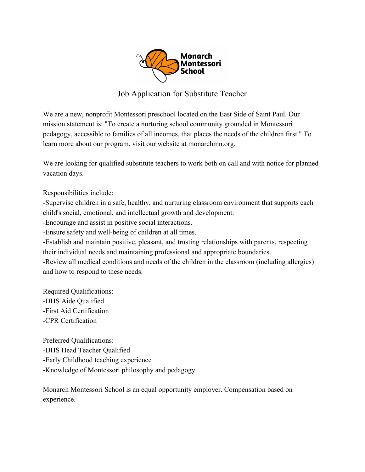

## Job Application for Substitute Teacher

We are a new, nonprofit Montessori preschool located on the East Side of Saint Paul. Our mission statement is: "To create a nurturing school community grounded in Montessori pedagogy, accessible to families of all incomes, that places the needs of the children first." To learn more about our program, visit our website at monarchmn.org.

We are looking for qualified substitute teachers to work both on call and with notice for planned vacation days.

Responsibilities include:

-Supervise children in a safe, healthy, and nurturing classroom environment that supports each child's social, emotional, and intellectual growth and development.

-Encourage and assist in positive social interactions.

-Ensure safety and well-being of children at all times.

-Establish and maintain positive, pleasant, and trusting relationships with parents, respecting their individual needs and maintaining professional and appropriate boundaries.

-Review all medical conditions and needs of the children in the classroom (including allergies) and how to respond to these needs.

Required Qualifications: -DHS Aide Qualified -First Aid Certification -CPR Certification

Preferred Qualifications: -DHS Head Teacher Qualified -Early Childhood teaching experience -Knowledge of Montessori philosophy and pedagogy

Monarch Montessori School is an equal opportunity employer. Compensation based on experience.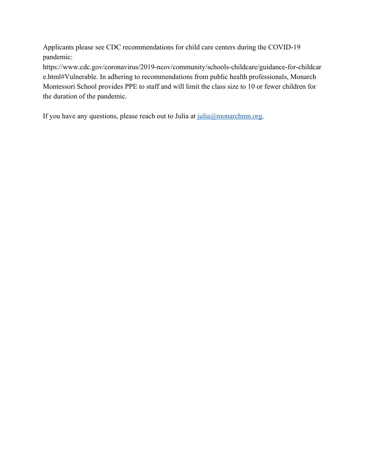Applicants please see CDC recommendations for child care centers during the COVID-19 pandemic:

https://www.cdc.gov/coronavirus/2019-ncov/community/schools-childcare/guidance-for-childcar e.html#Vulnerable. In adhering to recommendations from public health professionals, Monarch Montessori School provides PPE to staff and will limit the class size to 10 or fewer children for the duration of the pandemic.

If you have any questions, please reach out to Julia at  $\frac{\text{i} \text{u} \text{u} \cdot \text{u} \cdot \text{v}}{\text{u} \cdot \text{u} \cdot \text{u} \cdot \text{v}}$